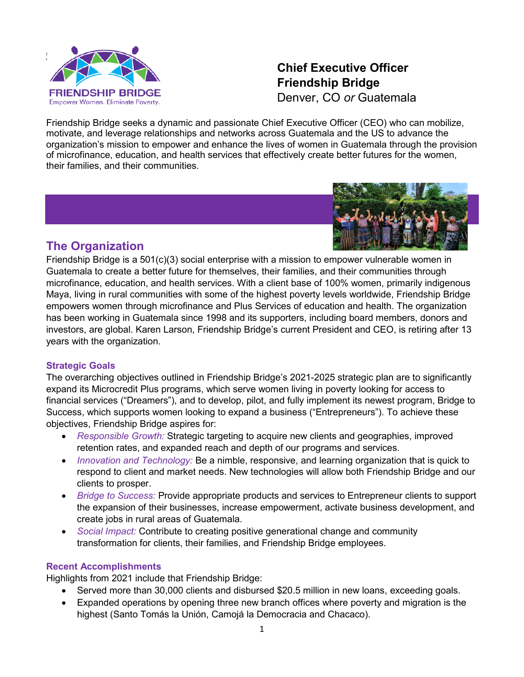

# **Chief Executive Officer Friendship Bridge** Denver, CO *or* Guatemala

Friendship Bridge seeks a dynamic and passionate Chief Executive Officer (CEO) who can mobilize, motivate, and leverage relationships and networks across Guatemala and the US to advance the organization's mission to empower and enhance the lives of women in Guatemala through the provision of microfinance, education, and health services that effectively create better futures for the women, their families, and their communities.



## **The Organization**

Friendship Bridge is a 501(c)(3) social enterprise with a mission to empower vulnerable women in Guatemala to create a better future for themselves, their families, and their communities through microfinance, education, and health services. With a client base of 100% women, primarily indigenous Maya, living in rural communities with some of the highest poverty levels worldwide, Friendship Bridge empowers women through microfinance and Plus Services of education and health. The organization has been working in Guatemala since 1998 and its supporters, including board members, donors and investors, are global. Karen Larson, Friendship Bridge's current President and CEO, is retiring after 13 years with the organization.

### **Strategic Goals**

The overarching objectives outlined in Friendship Bridge's 2021-2025 strategic plan are to significantly expand its Microcredit Plus programs, which serve women living in poverty looking for access to financial services ("Dreamers"), and to develop, pilot, and fully implement its newest program, Bridge to Success, which supports women looking to expand a business ("Entrepreneurs"). To achieve these objectives, Friendship Bridge aspires for:

- *Responsible Growth:* Strategic targeting to acquire new clients and geographies, improved retention rates, and expanded reach and depth of our programs and services.
- *Innovation and Technology:* Be a nimble, responsive, and learning organization that is quick to respond to client and market needs. New technologies will allow both Friendship Bridge and our clients to prosper.
- *Bridge to Success:* Provide appropriate products and services to Entrepreneur clients to support the expansion of their businesses, increase empowerment, activate business development, and create jobs in rural areas of Guatemala.
- *Social Impact:* Contribute to creating positive generational change and community transformation for clients, their families, and Friendship Bridge employees.

### **Recent Accomplishments**

Highlights from 2021 include that Friendship Bridge:

- Served more than 30,000 clients and disbursed \$20.5 million in new loans, exceeding goals.
- Expanded operations by opening three new branch offices where poverty and migration is the highest (Santo Tomás la Unión, Camojá la Democracia and Chacaco).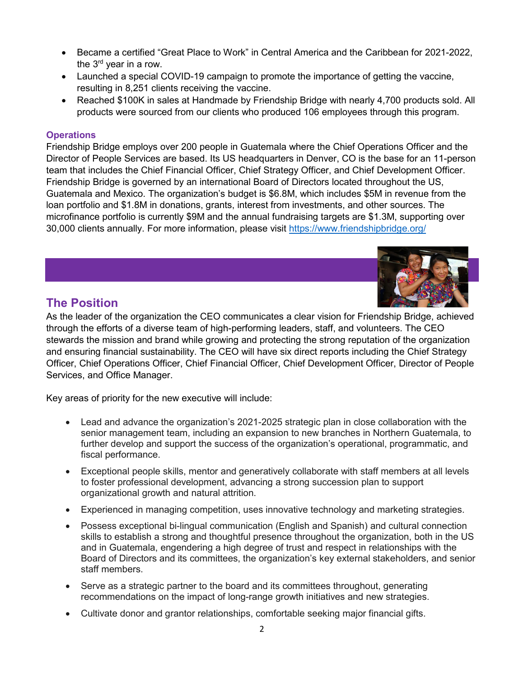- Became a certified "Great Place to Work" in Central America and the Caribbean for 2021-2022, the  $3<sup>rd</sup>$  vear in a row.
- Launched a special COVID-19 campaign to promote the importance of getting the vaccine, resulting in 8,251 clients receiving the vaccine.
- Reached \$100K in sales at Handmade by Friendship Bridge with nearly 4,700 products sold. All products were sourced from our clients who produced 106 employees through this program.

#### **Operations**

Friendship Bridge employs over 200 people in Guatemala where the Chief Operations Officer and the Director of People Services are based. Its US headquarters in Denver, CO is the base for an 11-person team that includes the Chief Financial Officer, Chief Strategy Officer, and Chief Development Officer. Friendship Bridge is governed by an international Board of Directors located throughout the US, Guatemala and Mexico. The organization's budget is \$6.8M, which includes \$5M in revenue from the loan portfolio and \$1.8M in donations, grants, interest from investments, and other sources. The microfinance portfolio is currently \$9M and the annual fundraising targets are \$1.3M, supporting over 30,000 clients annually. For more information, please visit<https://www.friendshipbridge.org/>

## **The Position**



As the leader of the organization the CEO communicates a clear vision for Friendship Bridge, achieved through the efforts of a diverse team of high-performing leaders, staff, and volunteers. The CEO stewards the mission and brand while growing and protecting the strong reputation of the organization and ensuring financial sustainability. The CEO will have six direct reports including the Chief Strategy Officer, Chief Operations Officer, Chief Financial Officer, Chief Development Officer, Director of People Services, and Office Manager.

Key areas of priority for the new executive will include:

- Lead and advance the organization's 2021-2025 strategic plan in close collaboration with the senior management team, including an expansion to new branches in Northern Guatemala, to further develop and support the success of the organization's operational, programmatic, and fiscal performance.
- Exceptional people skills, mentor and generatively collaborate with staff members at all levels to foster professional development, advancing a strong succession plan to support organizational growth and natural attrition.
- Experienced in managing competition, uses innovative technology and marketing strategies.
- Possess exceptional bi-lingual communication (English and Spanish) and cultural connection skills to establish a strong and thoughtful presence throughout the organization, both in the US and in Guatemala, engendering a high degree of trust and respect in relationships with the Board of Directors and its committees, the organization's key external stakeholders, and senior staff members.
- Serve as a strategic partner to the board and its committees throughout, generating recommendations on the impact of long-range growth initiatives and new strategies.
- Cultivate donor and grantor relationships, comfortable seeking major financial gifts.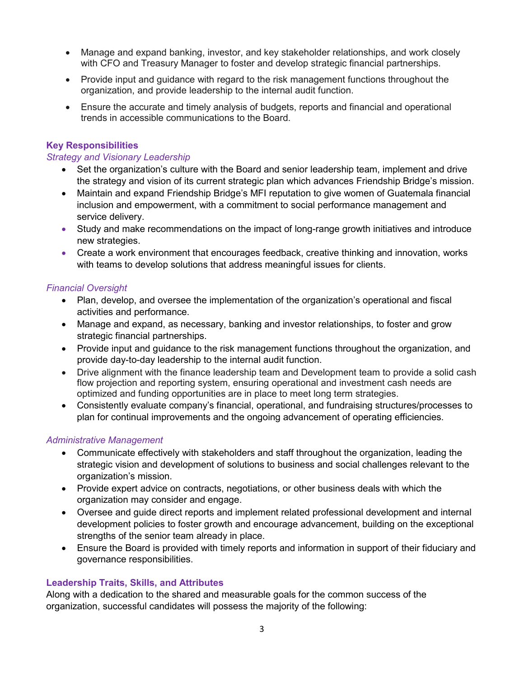- Manage and expand banking, investor, and key stakeholder relationships, and work closely with CFO and Treasury Manager to foster and develop strategic financial partnerships.
- Provide input and guidance with regard to the risk management functions throughout the organization, and provide leadership to the internal audit function.
- Ensure the accurate and timely analysis of budgets, reports and financial and operational trends in accessible communications to the Board.

### **Key Responsibilities**

#### *Strategy and Visionary Leadership*

- Set the organization's culture with the Board and senior leadership team, implement and drive the strategy and vision of its current strategic plan which advances Friendship Bridge's mission.
- Maintain and expand Friendship Bridge's MFI reputation to give women of Guatemala financial inclusion and empowerment, with a commitment to social performance management and service delivery.
- Study and make recommendations on the impact of long-range growth initiatives and introduce new strategies.
- Create a work environment that encourages feedback, creative thinking and innovation, works with teams to develop solutions that address meaningful issues for clients.

### *Financial Oversight*

- Plan, develop, and oversee the implementation of the organization's operational and fiscal activities and performance.
- Manage and expand, as necessary, banking and investor relationships, to foster and grow strategic financial partnerships.
- Provide input and guidance to the risk management functions throughout the organization, and provide day-to-day leadership to the internal audit function.
- Drive alignment with the finance leadership team and Development team to provide a solid cash flow projection and reporting system, ensuring operational and investment cash needs are optimized and funding opportunities are in place to meet long term strategies.
- Consistently evaluate company's financial, operational, and fundraising structures/processes to plan for continual improvements and the ongoing advancement of operating efficiencies.

#### *Administrative Management*

- Communicate effectively with stakeholders and staff throughout the organization, leading the strategic vision and development of solutions to business and social challenges relevant to the organization's mission.
- Provide expert advice on contracts, negotiations, or other business deals with which the organization may consider and engage.
- Oversee and guide direct reports and implement related professional development and internal development policies to foster growth and encourage advancement, building on the exceptional strengths of the senior team already in place.
- Ensure the Board is provided with timely reports and information in support of their fiduciary and governance responsibilities.

### **Leadership Traits, Skills, and Attributes**

Along with a dedication to the shared and measurable goals for the common success of the organization, successful candidates will possess the majority of the following: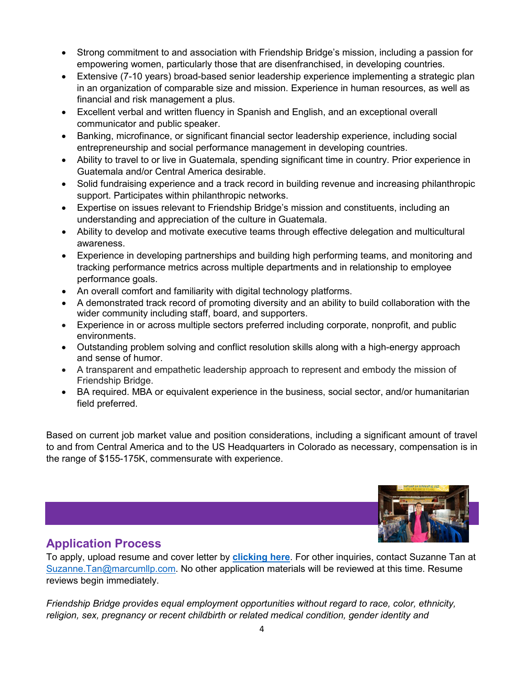- Strong commitment to and association with Friendship Bridge's mission, including a passion for empowering women, particularly those that are disenfranchised, in developing countries.
- Extensive (7-10 years) broad-based senior leadership experience implementing a strategic plan in an organization of comparable size and mission. Experience in human resources, as well as financial and risk management a plus.
- Excellent verbal and written fluency in Spanish and English, and an exceptional overall communicator and public speaker.
- Banking, microfinance, or significant financial sector leadership experience, including social entrepreneurship and social performance management in developing countries.
- Ability to travel to or live in Guatemala, spending significant time in country. Prior experience in Guatemala and/or Central America desirable.
- Solid fundraising experience and a track record in building revenue and increasing philanthropic support. Participates within philanthropic networks.
- Expertise on issues relevant to Friendship Bridge's mission and constituents, including an understanding and appreciation of the culture in Guatemala.
- Ability to develop and motivate executive teams through effective delegation and multicultural awareness.
- Experience in developing partnerships and building high performing teams, and monitoring and tracking performance metrics across multiple departments and in relationship to employee performance goals.
- An overall comfort and familiarity with digital technology platforms.
- A demonstrated track record of promoting diversity and an ability to build collaboration with the wider community including staff, board, and supporters.
- Experience in or across multiple sectors preferred including corporate, nonprofit, and public environments.
- Outstanding problem solving and conflict resolution skills along with a high-energy approach and sense of humor.
- A transparent and empathetic leadership approach to represent and embody the mission of Friendship Bridge.
- BA required. MBA or equivalent experience in the business, social sector, and/or humanitarian field preferred.

Based on current job market value and position considerations, including a significant amount of travel to and from Central America and to the US Headquarters in Colorado as necessary, compensation is in the range of \$155-175K, commensurate with experience.



## **Application Process**

To apply, upload resume and cover letter by **[clicking here](https://curawebservices.mindscope.com/RAFFA04463_CURA/Aspx/form.aspx?lang=en&Job_ID=509&source=Marcum)**. For other inquiries, contact Suzanne Tan at [Suzanne.Tan@marcumllp.com.](mailto:Suzanne.Tan@marcumllp.com) No other application materials will be reviewed at this time. Resume reviews begin immediately.

*Friendship Bridge provides equal employment opportunities without regard to race, color, ethnicity, religion, sex, pregnancy or recent childbirth or related medical condition, gender identity and*